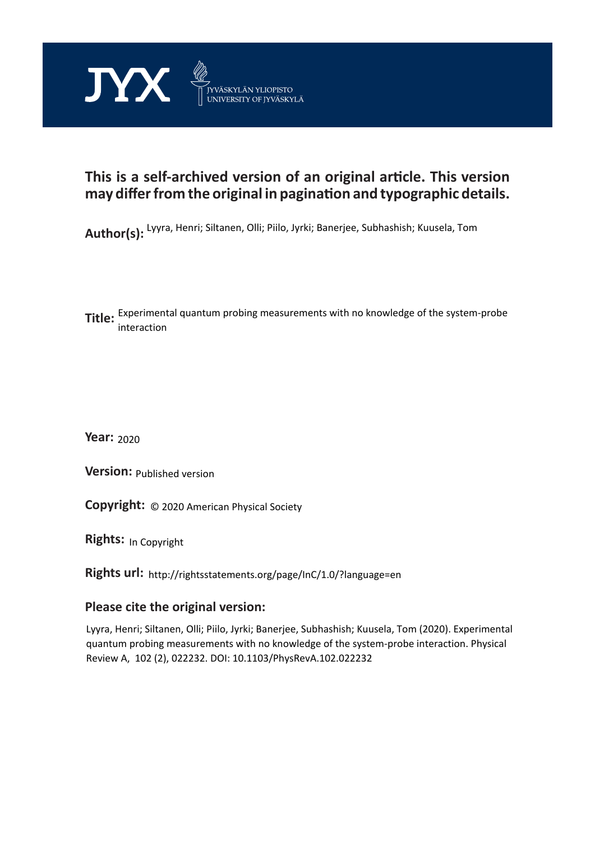

# **This is a self-archived version of an original article. This version may differ from the original in pagination and typographic details.**

**Author(s):**  Lyyra, Henri; Siltanen, Olli; Piilo, Jyrki; Banerjee, Subhashish; Kuusela, Tom

**Title:**  Experimental quantum probing measurements with no knowledge of the system-probe interaction

**Year:**  2020

**Version:** Published version

**Copyright:** © 2020 American Physical Society

**Rights:** In Copyright

**Rights url:**  http://rightsstatements.org/page/InC/1.0/?language=en

# **Please cite the original version:**

Lyyra, Henri; Siltanen, Olli; Piilo, Jyrki; Banerjee, Subhashish; Kuusela, Tom (2020). Experimental quantum probing measurements with no knowledge of the system-probe interaction. Physical Review A, 102 (2), 022232. DOI: 10.1103/PhysRevA.102.022232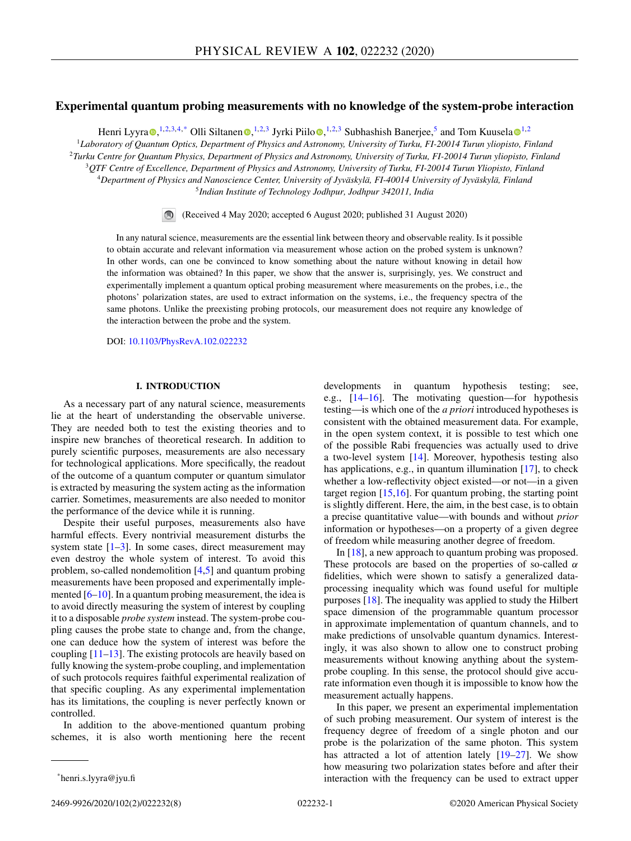### **Experimental quantum probing measurements with no knowledge of the system-probe interaction**

Henri Lyyra<sup>®, 1,2,3,4,\*</sup> Olli Siltanen<sup>®</sup>, <sup>1,2,3</sup> Jyrki Piilo®, <sup>1,2,3</sup> Subhashish Banerjee,<sup>5</sup> and Tom Kuusela®<sup>1,2</sup>

<sup>1</sup>*Laboratory of Quantum Optics, Department of Physics and Astronomy, University of Turku, FI-20014 Turun yliopisto, Finland*

<sup>2</sup>*Turku Centre for Quantum Physics, Department of Physics and Astronomy, University of Turku, FI-20014 Turun yliopisto, Finland*

<sup>3</sup>*QTF Centre of Excellence, Department of Physics and Astronomy, University of Turku, FI-20014 Turun Yliopisto, Finland*

<sup>4</sup>*Department of Physics and Nanoscience Center, University of Jyväskylä, FI-40014 University of Jyväskylä, Finland*

5 *Indian Institute of Technology Jodhpur, Jodhpur 342011, India*

(Received 4 May 2020; accepted 6 August 2020; published 31 August 2020)

In any natural science, measurements are the essential link between theory and observable reality. Is it possible to obtain accurate and relevant information via measurement whose action on the probed system is unknown? In other words, can one be convinced to know something about the nature without knowing in detail how the information was obtained? In this paper, we show that the answer is, surprisingly, yes. We construct and experimentally implement a quantum optical probing measurement where measurements on the probes, i.e., the photons' polarization states, are used to extract information on the systems, i.e., the frequency spectra of the same photons. Unlike the preexisting probing protocols, our measurement does not require any knowledge of the interaction between the probe and the system.

DOI: 10.1103/PhysRevA.102.022232

#### **I. INTRODUCTION**

As a necessary part of any natural science, measurements lie at the heart of understanding the observable universe. They are needed both to test the existing theories and to inspire new branches of theoretical research. In addition to purely scientific purposes, measurements are also necessary for technological applications. More specifically, the readout of the outcome of a quantum computer or quantum simulator is extracted by measuring the system acting as the information carrier. Sometimes, measurements are also needed to monitor the performance of the device while it is running.

Despite their useful purposes, measurements also have harmful effects. Every nontrivial measurement disturbs the system state  $[1-3]$ . In some cases, direct measurement may even destroy the whole system of interest. To avoid this problem, so-called nondemolition [4,5] and quantum probing measurements have been proposed and experimentally implemented [6–10]. In a quantum probing measurement, the idea is to avoid directly measuring the system of interest by coupling it to a disposable *probe system* instead. The system-probe coupling causes the probe state to change and, from the change, one can deduce how the system of interest was before the coupling [11–13]. The existing protocols are heavily based on fully knowing the system-probe coupling, and implementation of such protocols requires faithful experimental realization of that specific coupling. As any experimental implementation has its limitations, the coupling is never perfectly known or controlled.

In addition to the above-mentioned quantum probing schemes, it is also worth mentioning here the recent developments in quantum hypothesis testing; see, e.g., [14–16]. The motivating question—for hypothesis testing—is which one of the *a priori* introduced hypotheses is consistent with the obtained measurement data. For example, in the open system context, it is possible to test which one of the possible Rabi frequencies was actually used to drive a two-level system [14]. Moreover, hypothesis testing also has applications, e.g., in quantum illumination [17], to check whether a low-reflectivity object existed—or not—in a given target region [15,16]. For quantum probing, the starting point is slightly different. Here, the aim, in the best case, is to obtain a precise quantitative value—with bounds and without *prior* information or hypotheses—on a property of a given degree of freedom while measuring another degree of freedom.

In [18], a new approach to quantum probing was proposed. These protocols are based on the properties of so-called  $\alpha$ fidelities, which were shown to satisfy a generalized dataprocessing inequality which was found useful for multiple purposes [18]. The inequality was applied to study the Hilbert space dimension of the programmable quantum processor in approximate implementation of quantum channels, and to make predictions of unsolvable quantum dynamics. Interestingly, it was also shown to allow one to construct probing measurements without knowing anything about the systemprobe coupling. In this sense, the protocol should give accurate information even though it is impossible to know how the measurement actually happens.

In this paper, we present an experimental implementation of such probing measurement. Our system of interest is the frequency degree of freedom of a single photon and our probe is the polarization of the same photon. This system has attracted a lot of attention lately [19–27]. We show how measuring two polarization states before and after their interaction with the frequency can be used to extract upper

2469-9926/2020/102(2)/022232(8) 022232-1 ©2020 American Physical Society

<sup>\*</sup>henri.s.lyyra@jyu.fi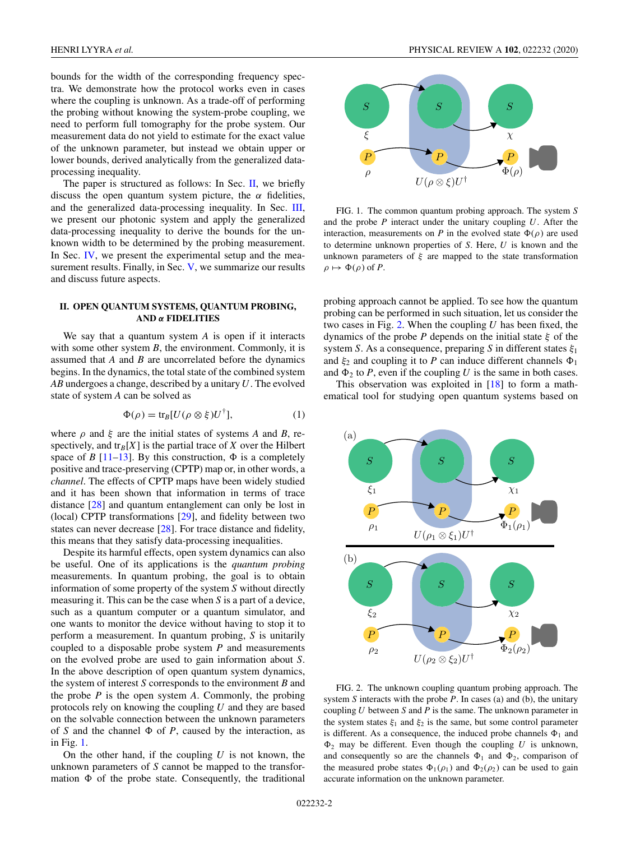bounds for the width of the corresponding frequency spectra. We demonstrate how the protocol works even in cases where the coupling is unknown. As a trade-off of performing the probing without knowing the system-probe coupling, we need to perform full tomography for the probe system. Our measurement data do not yield to estimate for the exact value of the unknown parameter, but instead we obtain upper or lower bounds, derived analytically from the generalized dataprocessing inequality.

The paper is structured as follows: In Sec.  $II$ , we briefly discuss the open quantum system picture, the  $\alpha$  fidelities, and the generalized data-processing inequality. In Sec. III, we present our photonic system and apply the generalized data-processing inequality to derive the bounds for the unknown width to be determined by the probing measurement. In Sec. IV, we present the experimental setup and the measurement results. Finally, in Sec. V, we summarize our results and discuss future aspects.

## **II. OPEN QUANTUM SYSTEMS, QUANTUM PROBING, AND** α **FIDELITIES**

We say that a quantum system *A* is open if it interacts with some other system *B*, the environment. Commonly, it is assumed that *A* and *B* are uncorrelated before the dynamics begins. In the dynamics, the total state of the combined system *AB* undergoes a change, described by a unitary *U*. The evolved state of system *A* can be solved as

$$
\Phi(\rho) = \text{tr}_B[U(\rho \otimes \xi)U^{\dagger}], \tag{1}
$$

where  $\rho$  and  $\xi$  are the initial states of systems *A* and *B*, respectively, and  $tr_B[X]$  is the partial trace of *X* over the Hilbert space of *B* [11–13]. By this construction,  $\Phi$  is a completely positive and trace-preserving (CPTP) map or, in other words, a *channel*. The effects of CPTP maps have been widely studied and it has been shown that information in terms of trace distance [28] and quantum entanglement can only be lost in (local) CPTP transformations [29], and fidelity between two states can never decrease [28]. For trace distance and fidelity, this means that they satisfy data-processing inequalities.

Despite its harmful effects, open system dynamics can also be useful. One of its applications is the *quantum probing* measurements. In quantum probing, the goal is to obtain information of some property of the system *S* without directly measuring it. This can be the case when *S* is a part of a device, such as a quantum computer or a quantum simulator, and one wants to monitor the device without having to stop it to perform a measurement. In quantum probing, *S* is unitarily coupled to a disposable probe system *P* and measurements on the evolved probe are used to gain information about *S*. In the above description of open quantum system dynamics, the system of interest *S* corresponds to the environment *B* and the probe *P* is the open system *A*. Commonly, the probing protocols rely on knowing the coupling *U* and they are based on the solvable connection between the unknown parameters of *S* and the channel  $\Phi$  of *P*, caused by the interaction, as in Fig. 1.

On the other hand, if the coupling *U* is not known, the unknown parameters of *S* cannot be mapped to the transformation  $\Phi$  of the probe state. Consequently, the traditional



FIG. 1. The common quantum probing approach. The system *S* and the probe *P* interact under the unitary coupling *U*. After the interaction, measurements on *P* in the evolved state  $\Phi(\rho)$  are used to determine unknown properties of *S*. Here, *U* is known and the unknown parameters of  $\xi$  are mapped to the state transformation  $\rho \mapsto \Phi(\rho)$  of *P*.

probing approach cannot be applied. To see how the quantum probing can be performed in such situation, let us consider the two cases in Fig. 2. When the coupling *U* has been fixed, the dynamics of the probe *P* depends on the initial state ξ of the system *S*. As a consequence, preparing *S* in different states  $\xi_1$ and  $\xi_2$  and coupling it to *P* can induce different channels  $\Phi_1$ and  $\Phi_2$  to *P*, even if the coupling *U* is the same in both cases.

This observation was exploited in  $[18]$  to form a mathematical tool for studying open quantum systems based on



FIG. 2. The unknown coupling quantum probing approach. The system *S* interacts with the probe *P*. In cases (a) and (b), the unitary coupling *U* between *S* and *P* is the same. The unknown parameter in the system states  $\xi_1$  and  $\xi_2$  is the same, but some control parameter is different. As a consequence, the induced probe channels  $\Phi_1$  and  $\Phi_2$  may be different. Even though the coupling *U* is unknown, and consequently so are the channels  $\Phi_1$  and  $\Phi_2$ , comparison of the measured probe states  $\Phi_1(\rho_1)$  and  $\Phi_2(\rho_2)$  can be used to gain accurate information on the unknown parameter.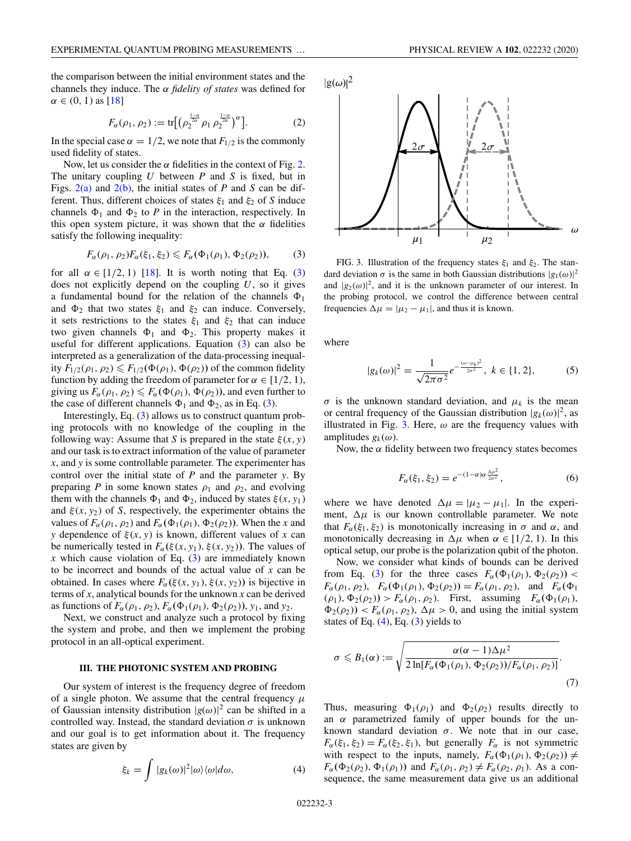the comparison between the initial environment states and the channels they induce. The α *fidelity of states* was defined for  $\alpha \in (0, 1)$  as [18]

$$
F_{\alpha}(\rho_1, \rho_2) := \text{tr}\Big[ \big( \rho_2^{\frac{1-\alpha}{2\alpha}} \rho_1 \, \rho_2^{\frac{1-\alpha}{2\alpha}} \big)^{\alpha} \Big]. \tag{2}
$$

In the special case  $\alpha = 1/2$ , we note that  $F_{1/2}$  is the commonly used fidelity of states.

Now, let us consider the  $\alpha$  fidelities in the context of Fig. 2. The unitary coupling *U* between *P* and *S* is fixed, but in Figs. 2(a) and 2(b), the initial states of *P* and *S* can be different. Thus, different choices of states  $\xi_1$  and  $\xi_2$  of *S* induce channels  $\Phi_1$  and  $\Phi_2$  to *P* in the interaction, respectively. In this open system picture, it was shown that the  $\alpha$  fidelities satisfy the following inequality:

$$
F_{\alpha}(\rho_1, \rho_2) F_{\alpha}(\xi_1, \xi_2) \leqslant F_{\alpha}(\Phi_1(\rho_1), \Phi_2(\rho_2)),\tag{3}
$$

for all  $\alpha \in [1/2, 1)$  [18]. It is worth noting that Eq. (3) does not explicitly depend on the coupling *U*, so it gives a fundamental bound for the relation of the channels  $\Phi_1$ and  $\Phi_2$  that two states  $\xi_1$  and  $\xi_2$  can induce. Conversely, it sets restrictions to the states  $\xi_1$  and  $\xi_2$  that can induce two given channels  $\Phi_1$  and  $\Phi_2$ . This property makes it useful for different applications. Equation (3) can also be interpreted as a generalization of the data-processing inequality  $F_{1/2}(\rho_1, \rho_2) \leq F_{1/2}(\Phi(\rho_1), \Phi(\rho_2))$  of the common fidelity function by adding the freedom of parameter for  $\alpha \in [1/2, 1)$ , giving us  $F_\alpha(\rho_1, \rho_2) \leq F_\alpha(\Phi(\rho_1), \Phi(\rho_2))$ , and even further to the case of different channels  $\Phi_1$  and  $\Phi_2$ , as in Eq. (3).

Interestingly, Eq. (3) allows us to construct quantum probing protocols with no knowledge of the coupling in the following way: Assume that *S* is prepared in the state  $\xi(x, y)$ and our task is to extract information of the value of parameter *x*, and *y* is some controllable parameter. The experimenter has control over the initial state of *P* and the parameter *y*. By preparing *P* in some known states  $\rho_1$  and  $\rho_2$ , and evolving them with the channels  $\Phi_1$  and  $\Phi_2$ , induced by states  $\xi(x, y_1)$ and  $\xi(x, y_2)$  of *S*, respectively, the experimenter obtains the values of  $F_\alpha(\rho_1, \rho_2)$  and  $F_\alpha(\Phi_1(\rho_1), \Phi_2(\rho_2))$ . When the *x* and *y* dependence of  $\xi(x, y)$  is known, different values of *x* can be numerically tested in  $F_\alpha$  ( $\xi$  (*x*,  $y_1$ ),  $\xi$  (*x*,  $y_2$ )). The values of  $x$  which cause violation of Eq.  $(3)$  are immediately known to be incorrect and bounds of the actual value of *x* can be obtained. In cases where  $F_\alpha(\xi(x, y_1), \xi(x, y_2))$  is bijective in terms of *x*, analytical bounds for the unknown *x* can be derived as functions of  $F_\alpha(\rho_1, \rho_2)$ ,  $F_\alpha(\Phi_1(\rho_1), \Phi_2(\rho_2))$ ,  $y_1$ , and  $y_2$ .

Next, we construct and analyze such a protocol by fixing the system and probe, and then we implement the probing protocol in an all-optical experiment.

#### **III. THE PHOTONIC SYSTEM AND PROBING**

Our system of interest is the frequency degree of freedom of a single photon. We assume that the central frequency  $\mu$ of Gaussian intensity distribution  $|g(\omega)|^2$  can be shifted in a controlled way. Instead, the standard deviation  $\sigma$  is unknown and our goal is to get information about it. The frequency states are given by

$$
\xi_k = \int |g_k(\omega)|^2 |\omega\rangle \langle \omega| d\omega, \tag{4}
$$



FIG. 3. Illustration of the frequency states  $\xi_1$  and  $\xi_2$ . The standard deviation  $\sigma$  is the same in both Gaussian distributions  $|g_1(\omega)|^2$ and  $|g_2(\omega)|^2$ , and it is the unknown parameter of our interest. In the probing protocol, we control the difference between central frequencies  $\Delta \mu = |\mu_2 - \mu_1|$ , and thus it is known.

where

$$
|g_k(\omega)|^2 = \frac{1}{\sqrt{2\pi\sigma^2}} e^{-\frac{(\omega-\mu_k)^2}{2\sigma^2}}, \ k \in \{1, 2\},\tag{5}
$$

σ is the unknown standard deviation, and μ*<sup>k</sup>* is the mean or central frequency of the Gaussian distribution  $|g_k(\omega)|^2$ , as illustrated in Fig. 3. Here,  $\omega$  are the frequency values with amplitudes  $g_k(\omega)$ .

Now, the  $\alpha$  fidelity between two frequency states becomes

$$
F_{\alpha}(\xi_1, \xi_2) = e^{-(1-\alpha)\alpha \frac{\Delta \mu^2}{2\sigma^2}}, \tag{6}
$$

where we have denoted  $\Delta \mu = |\mu_2 - \mu_1|$ . In the experiment,  $\Delta \mu$  is our known controllable parameter. We note that  $F_{\alpha}(\xi_1, \xi_2)$  is monotonically increasing in  $\sigma$  and  $\alpha$ , and monotonically decreasing in  $\Delta \mu$  when  $\alpha \in [1/2, 1)$ . In this optical setup, our probe is the polarization qubit of the photon.

Now, we consider what kinds of bounds can be derived from Eq. (3) for the three cases  $F_\alpha(\Phi_1(\rho_1), \Phi_2(\rho_2))$  <  $F_{\alpha}(\rho_1, \rho_2)$ ,  $F_{\alpha}(\Phi_1(\rho_1), \Phi_2(\rho_2)) = F_{\alpha}(\rho_1, \rho_2)$ , and  $F_{\alpha}(\Phi_1)$  $(\rho_1)$ ,  $\Phi_2(\rho_2)$ ) >  $F_\alpha(\rho_1, \rho_2)$ . First, assuming  $F_\alpha(\Phi_1(\rho_1))$ ,  $\Phi_2(\rho_2)$ ) <  $F_\alpha(\rho_1, \rho_2)$ ,  $\Delta \mu > 0$ , and using the initial system states of Eq.  $(4)$ , Eq.  $(3)$  yields to

$$
\sigma \leq B_1(\alpha) := \sqrt{\frac{\alpha(\alpha-1)\Delta\mu^2}{2\ln[F_\alpha(\Phi_1(\rho_1), \Phi_2(\rho_2))/F_\alpha(\rho_1, \rho_2)]}}.
$$
\n(7)

Thus, measuring  $\Phi_1(\rho_1)$  and  $\Phi_2(\rho_2)$  results directly to an  $\alpha$  parametrized family of upper bounds for the unknown standard deviation  $\sigma$ . We note that in our case,  $F_{\alpha}(\xi_1, \xi_2) = F_{\alpha}(\xi_2, \xi_1)$ , but generally  $F_{\alpha}$  is not symmetric with respect to the inputs, namely,  $F_\alpha(\Phi_1(\rho_1), \Phi_2(\rho_2)) \neq$  $F_\alpha$  ( $\Phi_2$ ( $\rho_2$ ),  $\Phi_1$ ( $\rho_1$ )) and  $F_\alpha$ ( $\rho_1$ ,  $\rho_2$ )  $\neq F_\alpha$ ( $\rho_2$ ,  $\rho_1$ ). As a consequence, the same measurement data give us an additional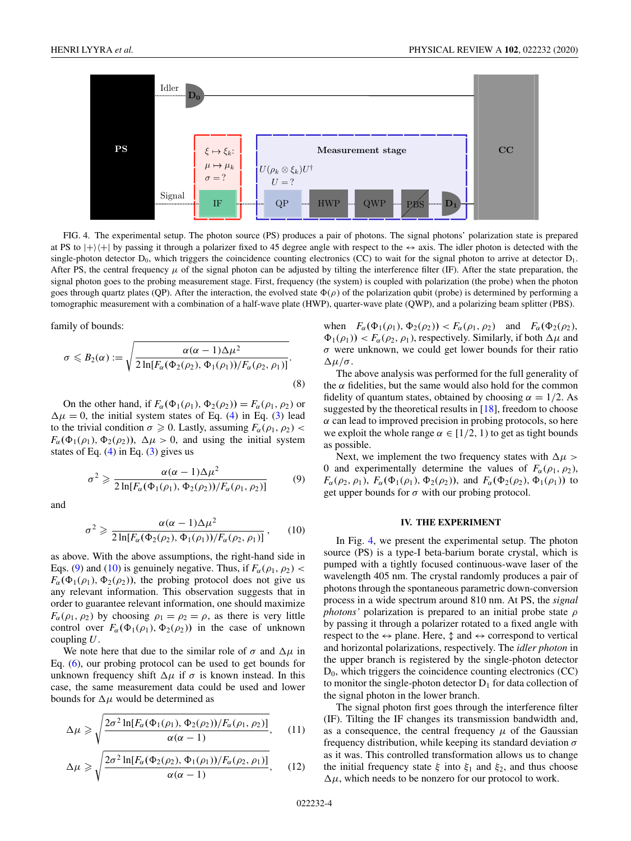

FIG. 4. The experimental setup. The photon source (PS) produces a pair of photons. The signal photons' polarization state is prepared at PS to  $|+\rangle\langle+|$  by passing it through a polarizer fixed to 45 degree angle with respect to the  $\leftrightarrow$  axis. The idler photon is detected with the single-photon detector  $D_0$ , which triggers the coincidence counting electronics (CC) to wait for the signal photon to arrive at detector  $D_1$ . After PS, the central frequency  $\mu$  of the signal photon can be adjusted by tilting the interference filter (IF). After the state preparation, the signal photon goes to the probing measurement stage. First, frequency (the system) is coupled with polarization (the probe) when the photon goes through quartz plates (QP). After the interaction, the evolved state  $\Phi(\rho)$  of the polarization qubit (probe) is determined by performing a tomographic measurement with a combination of a half-wave plate (HWP), quarter-wave plate (QWP), and a polarizing beam splitter (PBS).

family of bounds:

$$
\sigma \leq B_2(\alpha) := \sqrt{\frac{\alpha(\alpha-1)\Delta\mu^2}{2\ln[F_\alpha(\Phi_2(\rho_2), \Phi_1(\rho_1))/F_\alpha(\rho_2, \rho_1)]}}.
$$
\n(8)

On the other hand, if  $F_\alpha(\Phi_1(\rho_1), \Phi_2(\rho_2)) = F_\alpha(\rho_1, \rho_2)$  or  $\Delta \mu = 0$ , the initial system states of Eq. (4) in Eq. (3) lead to the trivial condition  $\sigma \geq 0$ . Lastly, assuming  $F_\alpha(\rho_1, \rho_2)$  $F_{\alpha}(\Phi_1(\rho_1), \Phi_2(\rho_2))$ ,  $\Delta \mu > 0$ , and using the initial system states of Eq.  $(4)$  in Eq.  $(3)$  gives us

$$
\sigma^2 \geqslant \frac{\alpha(\alpha-1)\Delta\mu^2}{2\ln[F_\alpha(\Phi_1(\rho_1), \Phi_2(\rho_2))/F_\alpha(\rho_1, \rho_2)]}
$$
(9)

and

$$
\sigma^2 \geqslant \frac{\alpha(\alpha-1)\Delta\mu^2}{2\ln[F_\alpha(\Phi_2(\rho_2), \Phi_1(\rho_1))/F_\alpha(\rho_2, \rho_1)]},\qquad(10)
$$

as above. With the above assumptions, the right-hand side in Eqs. (9) and (10) is genuinely negative. Thus, if  $F_\alpha(\rho_1, \rho_2)$  <  $F_{\alpha}(\Phi_1(\rho_1), \Phi_2(\rho_2))$ , the probing protocol does not give us any relevant information. This observation suggests that in order to guarantee relevant information, one should maximize  $F_{\alpha}(\rho_1, \rho_2)$  by choosing  $\rho_1 = \rho_2 = \rho$ , as there is very little control over  $F_\alpha(\Phi_1(\rho_1), \Phi_2(\rho_2))$  in the case of unknown coupling *U*.

We note here that due to the similar role of  $\sigma$  and  $\Delta \mu$  in Eq. (6), our probing protocol can be used to get bounds for unknown frequency shift  $\Delta \mu$  if  $\sigma$  is known instead. In this case, the same measurement data could be used and lower bounds for  $\Delta \mu$  would be determined as

$$
\Delta \mu \geqslant \sqrt{\frac{2\sigma^2 \ln[F_\alpha(\Phi_1(\rho_1), \Phi_2(\rho_2))/F_\alpha(\rho_1, \rho_2)]}{\alpha(\alpha - 1)}}, \quad (11)
$$

$$
\Delta \mu \geqslant \sqrt{\frac{2\sigma^2 \ln[F_\alpha(\Phi_2(\rho_2), \Phi_1(\rho_1))/F_\alpha(\rho_2, \rho_1)]}{\alpha(\alpha - 1)}}, \quad (12)
$$

when  $F_\alpha(\Phi_1(\rho_1), \Phi_2(\rho_2)) < F_\alpha(\rho_1, \rho_2)$  and  $F_\alpha(\Phi_2(\rho_2))$ ,  $\Phi_1(\rho_1)$  <  $F_\alpha(\rho_2, \rho_1)$ , respectively. Similarly, if both  $\Delta \mu$  and  $\sigma$  were unknown, we could get lower bounds for their ratio  $\Delta \mu / \sigma$ .

The above analysis was performed for the full generality of the  $\alpha$  fidelities, but the same would also hold for the common fidelity of quantum states, obtained by choosing  $\alpha = 1/2$ . As suggested by the theoretical results in [18], freedom to choose  $\alpha$  can lead to improved precision in probing protocols, so here we exploit the whole range  $\alpha \in [1/2, 1)$  to get as tight bounds as possible.

Next, we implement the two frequency states with  $\Delta \mu$  > 0 and experimentally determine the values of  $F_\alpha(\rho_1, \rho_2)$ , *F<sub>α</sub>*( $\rho_2$ , $\rho_1$ ), *F<sub>α</sub>*( $\Phi_1(\rho_1)$ ,  $\Phi_2(\rho_2)$ ), and *F<sub>α</sub>*( $\Phi_2(\rho_2)$ ,  $\Phi_1(\rho_1)$ ) to get upper bounds for  $\sigma$  with our probing protocol.

#### **IV. THE EXPERIMENT**

In Fig. 4, we present the experimental setup. The photon source (PS) is a type-I beta-barium borate crystal, which is pumped with a tightly focused continuous-wave laser of the wavelength 405 nm. The crystal randomly produces a pair of photons through the spontaneous parametric down-conversion process in a wide spectrum around 810 nm. At PS, the *signal photons'* polarization is prepared to an initial probe state  $\rho$ by passing it through a polarizer rotated to a fixed angle with respect to the  $\leftrightarrow$  plane. Here,  $\updownarrow$  and  $\leftrightarrow$  correspond to vertical and horizontal polarizations, respectively. The *idler photon* in the upper branch is registered by the single-photon detector  $D_0$ , which triggers the coincidence counting electronics (CC) to monitor the single-photon detector  $D_1$  for data collection of the signal photon in the lower branch.

The signal photon first goes through the interference filter (IF). Tilting the IF changes its transmission bandwidth and, as a consequence, the central frequency  $\mu$  of the Gaussian frequency distribution, while keeping its standard deviation  $\sigma$ as it was. This controlled transformation allows us to change the initial frequency state  $\xi$  into  $\xi_1$  and  $\xi_2$ , and thus choose  $\Delta \mu$ , which needs to be nonzero for our protocol to work.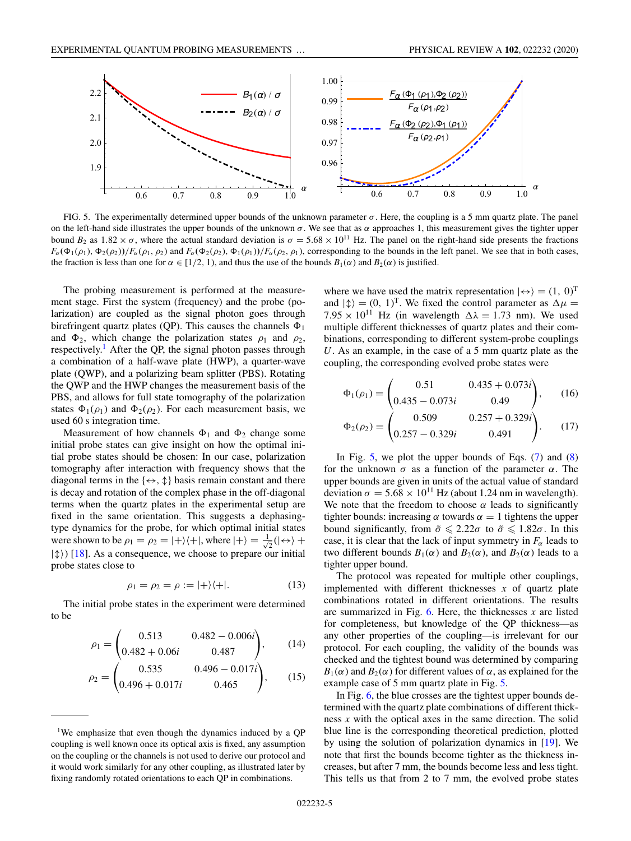

FIG. 5. The experimentally determined upper bounds of the unknown parameter  $\sigma$ . Here, the coupling is a 5 mm quartz plate. The panel on the left-hand side illustrates the upper bounds of the unknown  $\sigma$ . We see that as  $\alpha$  approaches 1, this measurement gives the tighter upper bound  $B_2$  as  $1.82 \times \sigma$ , where the actual standard deviation is  $\sigma = 5.68 \times 10^{11}$  Hz. The panel on the right-hand side presents the fractions  $F_\alpha(\Phi_1(\rho_1), \Phi_2(\rho_2))/F_\alpha(\rho_1, \rho_2)$  and  $F_\alpha(\Phi_2(\rho_2), \Phi_1(\rho_1))/F_\alpha(\rho_2, \rho_1)$ , corresponding to the bounds in the left panel. We see that in both cases, the fraction is less than one for  $\alpha \in [1/2, 1)$ , and thus the use of the bounds  $B_1(\alpha)$  and  $B_2(\alpha)$  is justified.

The probing measurement is performed at the measurement stage. First the system (frequency) and the probe (polarization) are coupled as the signal photon goes through birefringent quartz plates (QP). This causes the channels  $\Phi_1$ and  $\Phi_2$ , which change the polarization states  $\rho_1$  and  $\rho_2$ , respectively.<sup>1</sup> After the QP, the signal photon passes through a combination of a half-wave plate (HWP), a quarter-wave plate (QWP), and a polarizing beam splitter (PBS). Rotating the QWP and the HWP changes the measurement basis of the PBS, and allows for full state tomography of the polarization states  $\Phi_1(\rho_1)$  and  $\Phi_2(\rho_2)$ . For each measurement basis, we used 60 s integration time.

Measurement of how channels  $\Phi_1$  and  $\Phi_2$  change some initial probe states can give insight on how the optimal initial probe states should be chosen: In our case, polarization tomography after interaction with frequency shows that the diagonal terms in the  $\{\leftrightarrow, \updownarrow\}$  basis remain constant and there is decay and rotation of the complex phase in the off-diagonal terms when the quartz plates in the experimental setup are fixed in the same orientation. This suggests a dephasingtype dynamics for the probe, for which optimal initial states were shown to be  $\rho_1 = \rho_2 = |+\rangle\langle +|$ , where  $|+\rangle = \frac{1}{\sqrt{2}}$  $\frac{1}{2}(|\leftrightarrow\rangle +$  $|\updownarrow\rangle$ ) [18]. As a consequence, we choose to prepare our initial probe states close to

$$
\rho_1 = \rho_2 = \rho := |+\rangle\langle+|.\tag{13}
$$

The initial probe states in the experiment were determined to be

$$
\rho_1 = \begin{pmatrix} 0.513 & 0.482 - 0.006i \\ 0.482 + 0.06i & 0.487 \end{pmatrix}, \qquad (14)
$$

$$
\rho_2 = \begin{pmatrix} 0.535 & 0.496 - 0.017i \\ 0.535 & 0.496 - 0.017i \end{pmatrix}
$$

$$
\rho_2 = \begin{pmatrix} 0.535 & 0.496 - 0.017i \\ 0.496 + 0.017i & 0.465 \end{pmatrix}, \qquad (15)
$$

where we have used the matrix representation  $\ket{\leftrightarrow} = (1, 0)^T$ and  $|\hat{\psi}\rangle = (0, 1)^T$ . We fixed the control parameter as  $\Delta \mu =$  $7.95 \times 10^{11}$  Hz (in wavelength  $\Delta \lambda = 1.73$  nm). We used multiple different thicknesses of quartz plates and their combinations, corresponding to different system-probe couplings *U*. As an example, in the case of a 5 mm quartz plate as the coupling, the corresponding evolved probe states were

$$
\Phi_1(\rho_1) = \begin{pmatrix} 0.51 & 0.435 + 0.073i \\ 0.435 - 0.073i & 0.49 \end{pmatrix}, \qquad (16)
$$

$$
\Phi_2(\rho_2) = \begin{pmatrix} 0.509 & 0.257 + 0.329i \\ 0.257 - 0.329i & 0.491 \end{pmatrix}.
$$
 (17)

In Fig. 5, we plot the upper bounds of Eqs.  $(7)$  and  $(8)$ for the unknown  $\sigma$  as a function of the parameter  $\alpha$ . The upper bounds are given in units of the actual value of standard deviation  $\sigma = 5.68 \times 10^{11}$  Hz (about 1.24 nm in wavelength). We note that the freedom to choose  $\alpha$  leads to significantly tighter bounds: increasing  $\alpha$  towards  $\alpha = 1$  tightens the upper bound significantly, from  $\tilde{\sigma} \leqslant 2.22\sigma$  to  $\tilde{\sigma} \leqslant 1.82\sigma$ . In this case, it is clear that the lack of input symmetry in  $F_\alpha$  leads to two different bounds  $B_1(\alpha)$  and  $B_2(\alpha)$ , and  $B_2(\alpha)$  leads to a tighter upper bound.

The protocol was repeated for multiple other couplings, implemented with different thicknesses *x* of quartz plate combinations rotated in different orientations. The results are summarized in Fig. 6. Here, the thicknesses *x* are listed for completeness, but knowledge of the QP thickness—as any other properties of the coupling—is irrelevant for our protocol. For each coupling, the validity of the bounds was checked and the tightest bound was determined by comparing  $B_1(\alpha)$  and  $B_2(\alpha)$  for different values of  $\alpha$ , as explained for the example case of 5 mm quartz plate in Fig. 5.

In Fig. 6, the blue crosses are the tightest upper bounds determined with the quartz plate combinations of different thickness *x* with the optical axes in the same direction. The solid blue line is the corresponding theoretical prediction, plotted by using the solution of polarization dynamics in [19]. We note that first the bounds become tighter as the thickness increases, but after 7 mm, the bounds become less and less tight. This tells us that from 2 to 7 mm, the evolved probe states

<sup>&</sup>lt;sup>1</sup>We emphasize that even though the dynamics induced by a QP coupling is well known once its optical axis is fixed, any assumption on the coupling or the channels is not used to derive our protocol and it would work similarly for any other coupling, as illustrated later by fixing randomly rotated orientations to each QP in combinations.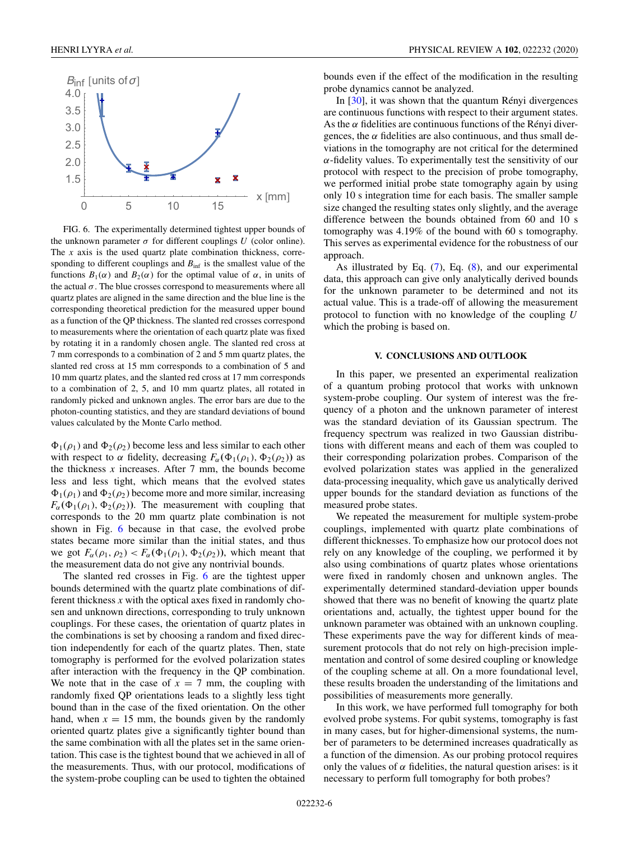

FIG. 6. The experimentally determined tightest upper bounds of the unknown parameter  $\sigma$  for different couplings *U* (color online). The *x* axis is the used quartz plate combination thickness, corresponding to different couplings and  $B<sub>inf</sub>$  is the smallest value of the functions  $B_1(\alpha)$  and  $B_2(\alpha)$  for the optimal value of  $\alpha$ , in units of the actual  $\sigma$ . The blue crosses correspond to measurements where all quartz plates are aligned in the same direction and the blue line is the corresponding theoretical prediction for the measured upper bound as a function of the QP thickness. The slanted red crosses correspond to measurements where the orientation of each quartz plate was fixed by rotating it in a randomly chosen angle. The slanted red cross at 7 mm corresponds to a combination of 2 and 5 mm quartz plates, the slanted red cross at 15 mm corresponds to a combination of 5 and 10 mm quartz plates, and the slanted red cross at 17 mm corresponds to a combination of 2, 5, and 10 mm quartz plates, all rotated in randomly picked and unknown angles. The error bars are due to the photon-counting statistics, and they are standard deviations of bound values calculated by the Monte Carlo method.

 $\Phi_1(\rho_1)$  and  $\Phi_2(\rho_2)$  become less and less similar to each other with respect to  $\alpha$  fidelity, decreasing  $F_{\alpha}(\Phi_1(\rho_1), \Phi_2(\rho_2))$  as the thickness  $x$  increases. After  $7 \text{ mm}$ , the bounds become less and less tight, which means that the evolved states  $\Phi_1(\rho_1)$  and  $\Phi_2(\rho_2)$  become more and more similar, increasing  $F_{\alpha}(\Phi_1(\rho_1), \Phi_2(\rho_2))$ . The measurement with coupling that corresponds to the 20 mm quartz plate combination is not shown in Fig. 6 because in that case, the evolved probe states became more similar than the initial states, and thus we got  $F_\alpha(\rho_1, \rho_2) < F_\alpha(\Phi_1(\rho_1), \Phi_2(\rho_2))$ , which meant that the measurement data do not give any nontrivial bounds.

The slanted red crosses in Fig. 6 are the tightest upper bounds determined with the quartz plate combinations of different thickness *x* with the optical axes fixed in randomly chosen and unknown directions, corresponding to truly unknown couplings. For these cases, the orientation of quartz plates in the combinations is set by choosing a random and fixed direction independently for each of the quartz plates. Then, state tomography is performed for the evolved polarization states after interaction with the frequency in the QP combination. We note that in the case of  $x = 7$  mm, the coupling with randomly fixed QP orientations leads to a slightly less tight bound than in the case of the fixed orientation. On the other hand, when  $x = 15$  mm, the bounds given by the randomly oriented quartz plates give a significantly tighter bound than the same combination with all the plates set in the same orientation. This case is the tightest bound that we achieved in all of the measurements. Thus, with our protocol, modifications of the system-probe coupling can be used to tighten the obtained bounds even if the effect of the modification in the resulting probe dynamics cannot be analyzed.

In [30], it was shown that the quantum Rényi divergences are continuous functions with respect to their argument states. As the  $\alpha$  fidelities are continuous functions of the Rényi divergences, the  $\alpha$  fidelities are also continuous, and thus small deviations in the tomography are not critical for the determined  $\alpha$ -fidelity values. To experimentally test the sensitivity of our protocol with respect to the precision of probe tomography, we performed initial probe state tomography again by using only 10 s integration time for each basis. The smaller sample size changed the resulting states only slightly, and the average difference between the bounds obtained from 60 and 10 s tomography was 4.19% of the bound with 60 s tomography. This serves as experimental evidence for the robustness of our approach.

As illustrated by Eq.  $(7)$ , Eq.  $(8)$ , and our experimental data, this approach can give only analytically derived bounds for the unknown parameter to be determined and not its actual value. This is a trade-off of allowing the measurement protocol to function with no knowledge of the coupling *U* which the probing is based on.

#### **V. CONCLUSIONS AND OUTLOOK**

In this paper, we presented an experimental realization of a quantum probing protocol that works with unknown system-probe coupling. Our system of interest was the frequency of a photon and the unknown parameter of interest was the standard deviation of its Gaussian spectrum. The frequency spectrum was realized in two Gaussian distributions with different means and each of them was coupled to their corresponding polarization probes. Comparison of the evolved polarization states was applied in the generalized data-processing inequality, which gave us analytically derived upper bounds for the standard deviation as functions of the measured probe states.

We repeated the measurement for multiple system-probe couplings, implemented with quartz plate combinations of different thicknesses. To emphasize how our protocol does not rely on any knowledge of the coupling, we performed it by also using combinations of quartz plates whose orientations were fixed in randomly chosen and unknown angles. The experimentally determined standard-deviation upper bounds showed that there was no benefit of knowing the quartz plate orientations and, actually, the tightest upper bound for the unknown parameter was obtained with an unknown coupling. These experiments pave the way for different kinds of measurement protocols that do not rely on high-precision implementation and control of some desired coupling or knowledge of the coupling scheme at all. On a more foundational level, these results broaden the understanding of the limitations and possibilities of measurements more generally.

In this work, we have performed full tomography for both evolved probe systems. For qubit systems, tomography is fast in many cases, but for higher-dimensional systems, the number of parameters to be determined increases quadratically as a function of the dimension. As our probing protocol requires only the values of  $\alpha$  fidelities, the natural question arises: is it necessary to perform full tomography for both probes?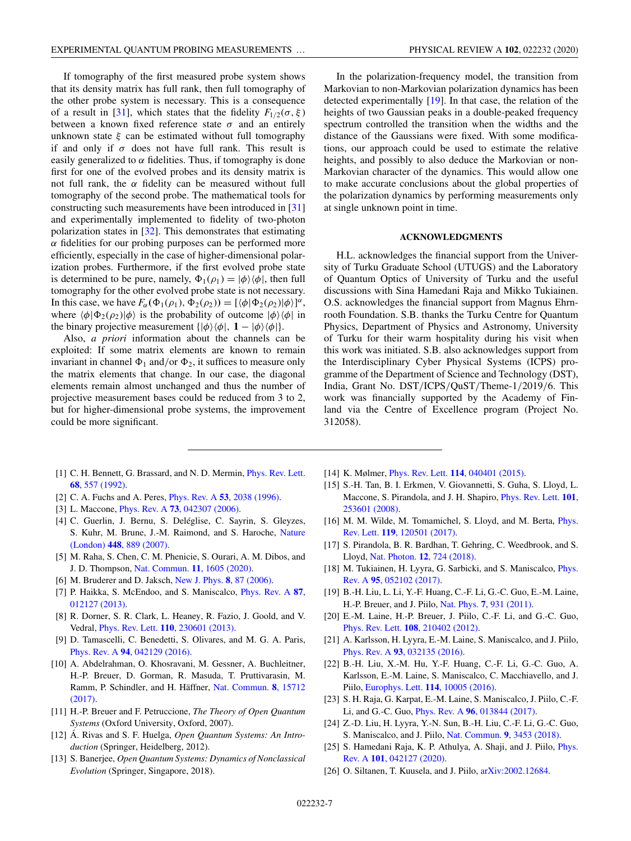If tomography of the first measured probe system shows that its density matrix has full rank, then full tomography of the other probe system is necessary. This is a consequence of a result in [31], which states that the fidelity  $F_{1/2}(\sigma, \xi)$ between a known fixed reference state  $\sigma$  and an entirely unknown state  $\xi$  can be estimated without full tomography if and only if  $\sigma$  does not have full rank. This result is easily generalized to  $\alpha$  fidelities. Thus, if tomography is done first for one of the evolved probes and its density matrix is not full rank, the  $\alpha$  fidelity can be measured without full tomography of the second probe. The mathematical tools for constructing such measurements have been introduced in [31] and experimentally implemented to fidelity of two-photon polarization states in [32]. This demonstrates that estimating  $\alpha$  fidelities for our probing purposes can be performed more efficiently, especially in the case of higher-dimensional polarization probes. Furthermore, if the first evolved probe state is determined to be pure, namely,  $\Phi_1(\rho_1) = |\phi\rangle\langle\phi|$ , then full tomography for the other evolved probe state is not necessary. In this case, we have  $F_\alpha(\Phi_1(\rho_1), \Phi_2(\rho_2)) = [\langle \phi | \Phi_2(\rho_2) | \phi \rangle]^\alpha$ , where  $\langle \phi | \Phi_2(\rho_2) | \phi \rangle$  is the probability of outcome  $|\phi\rangle \langle \phi|$  in the binary projective measurement  $\{|\phi\rangle\langle\phi|, 1 - |\phi\rangle\langle\phi|\}.$ 

Also, *a priori* information about the channels can be exploited: If some matrix elements are known to remain invariant in channel  $\Phi_1$  and/or  $\Phi_2$ , it suffices to measure only the matrix elements that change. In our case, the diagonal elements remain almost unchanged and thus the number of projective measurement bases could be reduced from 3 to 2, but for higher-dimensional probe systems, the improvement could be more significant.

- [1] C. H. Bennett, G. Brassard, and N. D. Mermin, *Phys. Rev. Lett.* **68**, 557 (1992).
- [2] C. A. Fuchs and A. Peres, Phys. Rev. A **53**, 2038 (1996).
- [3] L. Maccone, Phys. Rev. A **73**, 042307 (2006).
- [4] C. Guerlin, J. Bernu, S. Deléglise, C. Sayrin, S. Gleyzes, S. Kuhr, M. Brune, J.-M. Raimond, and S. Haroche, Nature (London) **448**, 889 (2007).
- [5] M. Raha, S. Chen, C. M. Phenicie, S. Ourari, A. M. Dibos, and J. D. Thompson, Nat. Commun. **11**, 1605 (2020).
- [6] M. Bruderer and D. Jaksch, New J. Phys. **8**, 87 (2006).
- [7] P. Haikka, S. McEndoo, and S. Maniscalco, Phys. Rev. A **87**, 012127 (2013).
- [8] R. Dorner, S. R. Clark, L. Heaney, R. Fazio, J. Goold, and V. Vedral, Phys. Rev. Lett. **110**, 230601 (2013).
- [9] D. Tamascelli, C. Benedetti, S. Olivares, and M. G. A. Paris, Phys. Rev. A **94**, 042129 (2016).
- [10] A. Abdelrahman, O. Khosravani, M. Gessner, A. Buchleitner, H.-P. Breuer, D. Gorman, R. Masuda, T. Pruttivarasin, M. Ramm, P. Schindler, and H. Häffner, Nat. Commun. **8**, 15712 (2017).
- [11] H.-P. Breuer and F. Petruccione, *The Theory of Open Quantum Systems* (Oxford University, Oxford, 2007).
- [12] Á. Rivas and S. F. Huelga, *Open Quantum Systems: An Introduction* (Springer, Heidelberg, 2012).
- [13] S. Banerjee, *Open Quantum Systems: Dynamics of Nonclassical Evolution* (Springer, Singapore, 2018).

In the polarization-frequency model, the transition from Markovian to non-Markovian polarization dynamics has been detected experimentally [19]. In that case, the relation of the heights of two Gaussian peaks in a double-peaked frequency spectrum controlled the transition when the widths and the distance of the Gaussians were fixed. With some modifications, our approach could be used to estimate the relative heights, and possibly to also deduce the Markovian or non-Markovian character of the dynamics. This would allow one to make accurate conclusions about the global properties of the polarization dynamics by performing measurements only at single unknown point in time.

#### **ACKNOWLEDGMENTS**

H.L. acknowledges the financial support from the University of Turku Graduate School (UTUGS) and the Laboratory of Quantum Optics of University of Turku and the useful discussions with Sina Hamedani Raja and Mikko Tukiainen. O.S. acknowledges the financial support from Magnus Ehrnrooth Foundation. S.B. thanks the Turku Centre for Quantum Physics, Department of Physics and Astronomy, University of Turku for their warm hospitality during his visit when this work was initiated. S.B. also acknowledges support from the Interdisciplinary Cyber Physical Systems (ICPS) programme of the Department of Science and Technology (DST), India, Grant No. DST/ICPS/QuST/Theme-1/2019/6. This work was financially supported by the Academy of Finland via the Centre of Excellence program (Project No. 312058).

- [14] K. Mølmer, Phys. Rev. Lett. **114**, 040401 (2015).
- [15] S.-H. Tan, B. I. Erkmen, V. Giovannetti, S. Guha, S. Lloyd, L. Maccone, S. Pirandola, and J. H. Shapiro, Phys. Rev. Lett. **101**, 253601 (2008).
- [16] M. M. Wilde, M. Tomamichel, S. Lloyd, and M. Berta, *Phys.* Rev. Lett. **119**, 120501 (2017).
- [17] S. Pirandola, B. R. Bardhan, T. Gehring, C. Weedbrook, and S. Lloyd, Nat. Photon. **12**, 724 (2018).
- [18] M. Tukiainen, H. Lyyra, G. Sarbicki, and S. Maniscalco, *Phys.* Rev. A **95**, 052102 (2017).
- [19] B.-H. Liu, L. Li, Y.-F. Huang, C.-F. Li, G.-C. Guo, E.-M. Laine, H.-P. Breuer, and J. Piilo, Nat. Phys. **7**, 931 (2011).
- [20] E.-M. Laine, H.-P. Breuer, J. Piilo, C.-F. Li, and G.-C. Guo, Phys. Rev. Lett. **108**, 210402 (2012).
- [21] A. Karlsson, H. Lyyra, E.-M. Laine, S. Maniscalco, and J. Piilo, Phys. Rev. A **93**, 032135 (2016).
- [22] B.-H. Liu, X.-M. Hu, Y.-F. Huang, C.-F. Li, G.-C. Guo, A. Karlsson, E.-M. Laine, S. Maniscalco, C. Macchiavello, and J. Piilo, Europhys. Lett. **114**, 10005 (2016).
- [23] S. H. Raja, G. Karpat, E.-M. Laine, S. Maniscalco, J. Piilo, C.-F. Li, and G.-C. Guo, Phys. Rev. A **96**, 013844 (2017).
- [24] Z.-D. Liu, H. Lyyra, Y.-N. Sun, B.-H. Liu, C.-F. Li, G.-C. Guo, S. Maniscalco, and J. Piilo, Nat. Commun. **9**, 3453 (2018).
- [25] S. Hamedani Raja, K. P. Athulya, A. Shaji, and J. Piilo, *Phys.* Rev. A **101**, 042127 (2020).
- [26] O. Siltanen, T. Kuusela, and J. Piilo, arXiv:2002.12684.